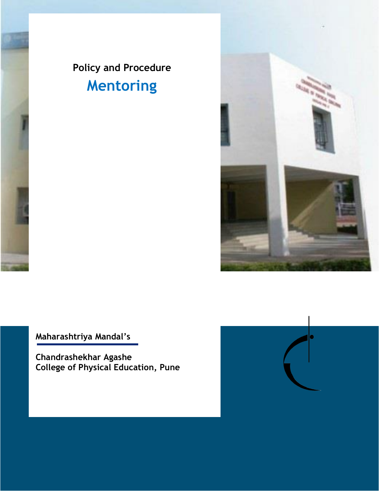



**Maharashtriya Mandal's**

**Chandrashekhar Agashe College of Physical Education, Pune**

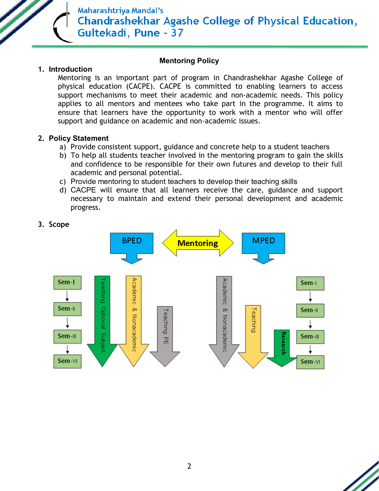

### **Mentoring Policy**

### **1. Introduction**

Mentoring is an important part of program in Chandrashekhar Agashe College of physical education (CACPE). CACPE is committed to enabling learners to access support mechanisms to meet their academic and non-academic needs. This policy applies to all mentors and mentees who take part in the programme. It aims to ensure that learners have the opportunity to work with a mentor who will offer support and guidance on academic and non-academic issues.

### **2. Policy Statement**

- a) Provide consistent support, guidance and concrete help to a student teachers
- b) To help all students teacher involved in the mentoring program to gain the skills and confidence to be responsible for their own futures and develop to their full academic and personal potential.
- c) Provide mentoring to student teachers to develop their teaching skills
- d) CACPE will ensure that all learners receive the care, guidance and support necessary to maintain and extend their personal development and academic progress.



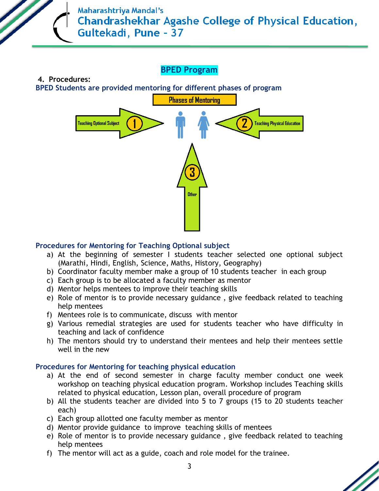# **BPED Program**

**BPED Students are provided mentoring for different phases of program** 

**4. Procedures:**



### **Procedures for Mentoring for Teaching Optional subject**

- a) At the beginning of semester I students teacher selected one optional subject (Marathi, Hindi, English, Science, Maths, History, Geography)
- b) Coordinator faculty member make a group of 10 students teacher in each group
- c) Each group is to be allocated a faculty member as mentor
- d) Mentor helps mentees to improve their teaching skills
- e) Role of mentor is to provide necessary guidance , give feedback related to teaching help mentees
- f) Mentees role is to communicate, discuss with mentor
- g) Various remedial strategies are used for students teacher who have difficulty in teaching and lack of confidence
- h) The mentors should try to understand their mentees and help their mentees settle well in the new

### **Procedures for Mentoring for teaching physical education**

- a) At the end of second semester in charge faculty member conduct one week workshop on teaching physical education program. Workshop includes Teaching skills related to physical education, Lesson plan, overall procedure of program
- b) All the students teacher are divided into 5 to 7 groups (15 to 20 students teacher each)
- c) Each group allotted one faculty member as mentor
- d) Mentor provide guidance to improve teaching skills of mentees
- e) Role of mentor is to provide necessary guidance , give feedback related to teaching help mentees
- f) The mentor will act as a guide, coach and role model for the trainee.

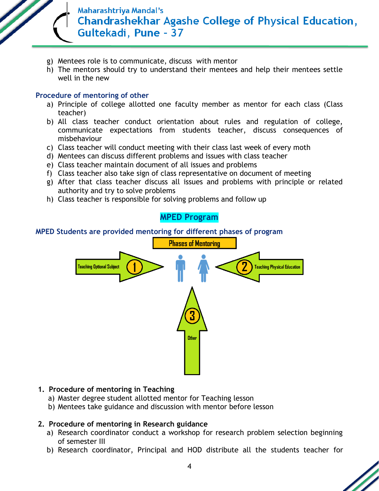

- g) Mentees role is to communicate, discuss with mentor
- h) The mentors should try to understand their mentees and help their mentees settle well in the new

#### **Procedure of mentoring of other**

- a) Principle of college allotted one faculty member as mentor for each class (Class teacher)
- b) All class teacher conduct orientation about rules and regulation of college, communicate expectations from students teacher, discuss consequences of misbehaviour
- c) Class teacher will conduct meeting with their class last week of every moth
- d) Mentees can discuss different problems and issues with class teacher
- e) Class teacher maintain document of all issues and problems
- f) Class teacher also take sign of class representative on document of meeting
- g) After that class teacher discuss all issues and problems with principle or related authority and try to solve problems
- h) Class teacher is responsible for solving problems and follow up

# **MPED Program**

#### **MPED Students are provided mentoring for different phases of program**



### **1. Procedure of mentoring in Teaching**

- a) Master degree student allotted mentor for Teaching lesson
- b) Mentees take guidance and discussion with mentor before lesson

### **2. Procedure of mentoring in Research guidance**

- a) Research coordinator conduct a workshop for research problem selection beginning of semester III
- b) Research coordinator, Principal and HOD distribute all the students teacher for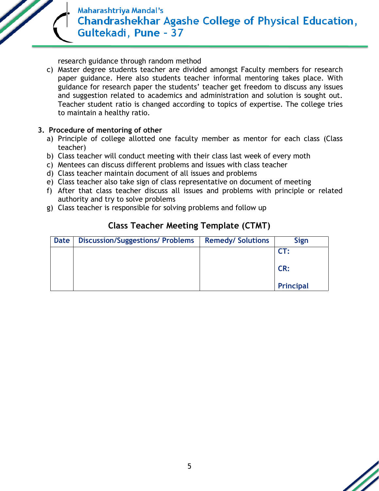research guidance through random method

c) Master degree students teacher are divided amongst Faculty members for research paper guidance. Here also students teacher informal mentoring takes place. With guidance for research paper the students' teacher get freedom to discuss any issues and suggestion related to academics and administration and solution is sought out. Teacher student ratio is changed according to topics of expertise. The college tries to maintain a healthy ratio.

### **3. Procedure of mentoring of other**

- a) Principle of college allotted one faculty member as mentor for each class (Class teacher)
- b) Class teacher will conduct meeting with their class last week of every moth
- c) Mentees can discuss different problems and issues with class teacher
- d) Class teacher maintain document of all issues and problems
- e) Class teacher also take sign of class representative on document of meeting
- f) After that class teacher discuss all issues and problems with principle or related authority and try to solve problems
- g) Class teacher is responsible for solving problems and follow up

| <b>Date</b> | <b>Discussion/Suggestions/ Problems</b> | <b>Remedy/ Solutions</b> | <b>Sign</b>      |
|-------------|-----------------------------------------|--------------------------|------------------|
|             |                                         |                          | CT:              |
|             |                                         |                          | CR:              |
|             |                                         |                          | <b>Principal</b> |

### **Class Teacher Meeting Template (CTMT)**

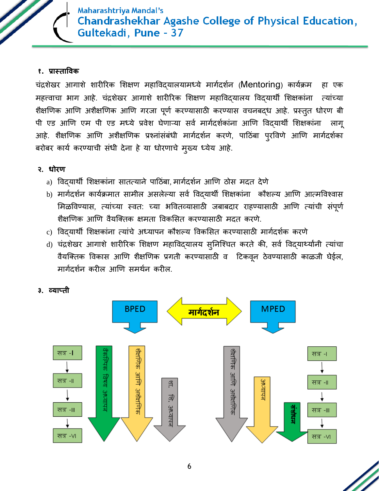### **१. प्रास्ताविक**

चंद्रशेखर आगाशे शारीररक शशक्षण महाविद्यालयामध्ये मागगदशगन (Mentoring) कायगक्रम हा एक महत्त्वाचा भाग आहे. चंद्रशेखर आगाशे शारीरिक शिक्षण महाविद्यालय विद्यार्थी शिक्षकांना त्यांच्या शैक्षणिक आणि अशैक्षणिक आणि गरजा पूर्ण करण्यासाठी करण्यास वचनबद्ध आहे. प्रस्तुत धोरण बी पी एड आणि एम पी एड मध्ये प्रवेश घेणाऱ्या सर्व मार्गदर्शकांना आणि विदयार्थी शिक्षकांना लागू आहे. शैक्षणिक आणि अशैक्षणिक प्रश्नांसंबंधी मार्गदर्शन करणे, पाठिंबा पुरविणे आणि मार्गदर्शका बरोबर कार्य करण्याची संधी देना हे या धोरणाचे मुख्य ध्येय आहे.

### **२. धोरण**

- a) विदयार्थी शिक्षकांना सातत्याने पाठिंबा, मार्गदर्शन आणि ठोस मदत देणे
- b) मार्गदर्शन कार्यक्रमात सामील असलेल्या सर्व विदयार्थी शिक्षकांना कौशल्य आणि आत्मविश्वास मिळविण्यास, त्यांच्या स्वत: च्या भवितव्यासाठी जबाबदार राहण्यासाठी आणि त्यांची संपूर्ण शैक्षणणक आणण िैयक्ततक क्षमता विकशसत करण्यासाठी मदत करणे.
- c) विद्यार्थी शशक्षकांना तयांचे अध्यापन कौशल्य विकशसत करण्यासाठी मागगदशगक करणे
- d) चंद्रशेखर आगाशे शारीरिक शिक्षण महाविद्यालय सुनिश्चित करते की, सर्व विद्यार्थ्यानी त्यांचा वैयक्तिक विकास आणि शैक्षणिक प्रगती करण्यासाठी व टिकवून ठेवण्यासाठी काळजी घेईल, मार्गदर्शन करील आणि समर्थन करील.



### **३. व्याप्ती**

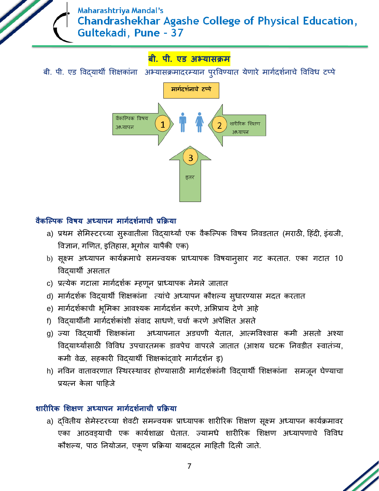# **बी. पी. एड अभ्यासक्रम**

बी. पी. एड विद्यार्थी शिक्षकांना अभ्यासक्रमादरम्यान पुरविण्यात येणारे मार्गदर्शनाचे विविध टप्पे



### **िैकल्पपक विषय अध्यापन मार्गदर्गनाची प्रक्रक्रया**

- a) प्रथम सेमिस्टरच्या सुरूवातीला विद्**यार्थ्यां एक वैकल्पिक विषय निवडतात (मराठी**, हिंदी, इंग्रजी, विज्ञान, गणणत, इनतहास, भूगोल यापैकी एक)
- b) सूक्ष्म अध्यापन कार्यक्रमाचे समन्वयक प्राध्यापक विषयान्**सार गट करतात. एका गटात 10** विद्यार्थी असतात
- c) प्रत्येक गटाला मार्गदर्शक म्हणून प्राध्यापक नेमले जातात
- d) मार्गदर्शक विद्यार्थी शिक्षकांना त्यांचे अध्यापन कौशल्य सुधारण्यास मदत करतात
- e) मार्गदर्शकाची भूमिका आवश्यक मार्गदर्शन करणे, अभिप्राय देणे आहे
- f) विदयार्थीनी मार्गदर्शकांशी संवाद साधणे, चर्चा करणे अपेक्षित असते
- g) ज्या विद्**यार्थी शिक्षकांना अध्यापनात अडचणी येतात**, आत्मविश्वास कमी असतो अश्या विद्यार्थ्यांसाठी विविध उपचारतमक डावपेच वापरले जातात (आशय घटक निवडीत स्वातंत्र्य, कमी वेळ, सहकारी विद्यार्थी शिक्षकांद्वारे मार्गदर्शन इ)
- h) नविन वातावरणात स्थिरस्थावर होण्यासाठी मार्गदर्शकांनी विद्यार्थी शिक्षकांना समजून घेण्याचा प्रयत्न केला पाहिजे

## **र्ारीररक शर्क्षण अध्यापन मार्गदर्गनाची प्रक्रक्रया**

a) द्वितीय सेमेस्टरच्या शेवटी समन्वयक प्राध्यापक शारीरिक शिक्षण सूक्ष्म अध्यापन कार्यक्रमावर एका आठिड्याची एक कायगशाळा घेतात. ज्यामधे शारीररक शशक्षण अध्यापणाचे विविध कौशल्य, पाठ ननयोजन, एकूण प्रक्रक्रया याबद्दल माठहती ठदली जाते.

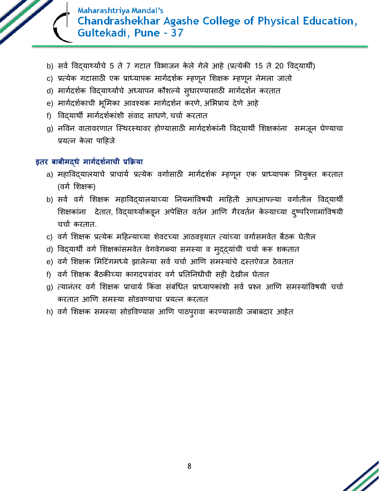

- b) सर्व विद्यार्थ्यांचे 5 ते 7 गटात विभाजन केले गेले आहे (प्रत्येकी 15 ते 20 विद्यार्थी)
- c) प्रत्येक गटासाठी एक प्राध्यापक मार्गदर्शक म्हणून शिक्षक म्हणून नेमला जातो
- d) मार्गदर्शक विद्यार्थ्यांचे अध्यापन कौशल्ये सुधारण्यासाठी मार्गदर्शन करतात
- e) मार्गदर्शकाची भूमिका आवश्यक मार्गदर्शन करणे, अभिप्राय देणे आहे
- f) विद्यार्थी मार्गदर्शकांशी संवाद साधणे, चर्चा करतात
- g) नविन वातावरणात स्थिरस्थावर होण्यासाठी मार्गदर्शकांनी विद्यार्थी शिक्षकांना समजून घेण्याचा प्रयत्न केला पाहिजे

### **इतर बाबीमद्धे मार्गदर्गनाची प्रक्रक्रया**

- a) महाविद्यालयाचे प्राचार्य प्रत्येक वर्गासाठी मार्गदर्शक म्हणून एक प्राध्यापक नियुक्त करतात (वर्ग शिक्षक)
- b) सर्व वर्ग शिक्षक महाविद्यालयाच्या नियमांविषयी माहिती आपआपल्या वर्गातील विद्**यार्थी** शिक्षकांना देतात, विद्यार्थ्यांकडून अपेक्षित वर्तन आणि गैरवर्तन केल्याच्या द्ष्परिणामांविषयी चचाग करतात.
- c) वर्ग शिक्षक प्रत्येक महिन्याच्या शेवटच्या आठवड्यात त्यांच्या वर्गासमवेत बैठक घेतील
- d) विद्यार्थी वर्ग शिक्षकांसमवेत वेगवेगळ्या समस्या व मुद्द्यांची चर्चा करू शकतात
- e) वर्ग शिक्षक मिटिंगमध्ये झालेल्या सर्व चर्चा आणि समस्यांचे दस्तऐवज ठेवतात
- f) वर्ग शिक्षक बैठकीच्या कागदपत्रांवर वर्ग प्रतिनिधीची सही देखील घेतात
- g) त्यानंतर वर्ग शिक्षक प्राचार्य किंवा संबंधित प्राध्यापकांशी सर्व प्रश्न आणि समस्यांविषयी चर्चा करतात आणण समस्या सोडिण्याचा प्रयतन करतात
- h) वर्ग शिक्षक समस्या सोडविण्यास आणि पाठपुरावा करण्यासाठी जबाबदार आहेत

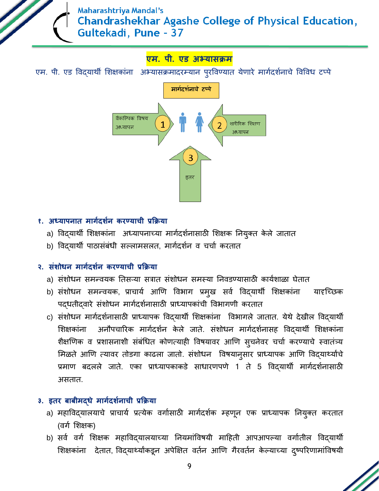## **एम. पी. एड अभ्यासक्रम**

एम. पी. एड विद्यार्थी शिक्षकांना अभ्यासक्रमादरम्यान पुरविण्यात येणारे मार्गदर्शनाचे विविध टप्पे



### **१. अध्यापनात मार्गदर्गन करण्याची प्रक्रक्रया**

- a) विद्**यार्थी शिक्षकांना अध्यापनाच्या मार्गदर्शना**साठी शिक्षक नियुक्त केले जातात
- b) विद्**यार्थी पाठासंबंधी सल्लामसलत, मार्गदर्श**न व चर्चा करतात

### **२. संर्ोधन मार्गदर्गन करण्याची प्रक्रक्रया**

- a) संशोधन समन्वयक तिसऱ्या सत्रात संशोधन समस्या निवडण्यासाठी कार्यशाळा घेतात
- b) संशोधन समन्वयक, प्राचार्य आणि विभाग प्रमुख सर्व विद्**यार्थी शिक्षकांना यादृच्छिक** पदधतीदवारे संशोधन मार्गदर्शनासाठी प्राध्यापकांची विभागणी करतात
- c) संशोधन मागगदशगनासाठी प्राध्यापक विद्यार्थी शशक्षकांना विभागले जातात. येर्थे देखील विद्यार्थी शिक्षकांना अनौपचारिक मार्गदर्शन केले जाते. संशोधन मार्गदर्शनासह विद्यार्थी शिक्षकांना शैक्षणिक व प्रशासनाशी संबंधित कोणत्याही विषयावर आणि स्चनेवर चर्चा करण्याचे स्वातंत्र्य मिळते आणि त्यावर तोडगा काढला जातो. संशोधन विषयानुसार प्राध्यापक आणि विद्यार्थ्यांचे प्रमाण बदलले जाते. एका प्राध्यापकाकडे साधारणपणे 1 ते 5 विद्यार्थी मागगदशगनासाठी असतात.

## **३. इतर बाबीमद्धे मार्गदर्गनाची प्रक्रक्रया**

- a) महाविद्यालयाचे प्राचार्य प्रत्येक वर्गासाठी मार्गदर्शक म्हणून एक प्राध्यापक नियुक्त करतात (वर्ग शिक्षक)
- b) सर्व वर्ग शिक्षक महाविद्यालयाच्या नियमांविषयी माहिती आपआपल्या वर्गातील विद्**यार्थी** शिक्षकांना देतात, विद्यार्थ्यांकडून अपेक्षित वर्तन आणि गैरवर्तन केल्याच्या द्ष्परिणामांविषयी